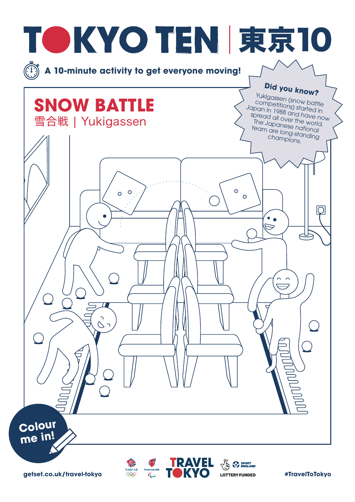